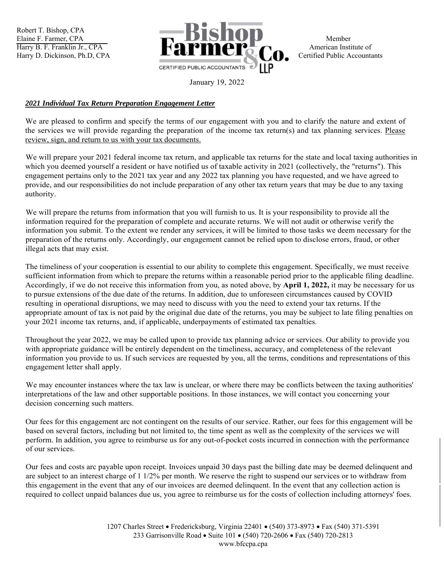Robert T. Bishop, CPA



January 19, 2022

## *2021 Individual Tax Return Preparation Engagement Letter*

We are pleased to confirm and specify the terms of our engagement with you and to clarify the nature and extent of the services we will provide regarding the preparation of the income tax return(s) and tax planning services. Please review, sign, and return to us with your tax documents.

We will prepare your 2021 federal income tax return, and applicable tax returns for the state and local taxing authorities in which you deemed yourself a resident or have notified us of taxable activity in 2021 (collectively, the "returns"). This engagement pertains only to the 2021 tax year and any 2022 tax planning you have requested, and we have agreed to provide, and our responsibilities do not include preparation of any other tax return years that may be due to any taxing authority.

We will prepare the returns from information that you will furnish to us. It is your responsibility to provide all the information required for the preparation of complete and accurate returns. We will not audit or otherwise verify the information you submit. To the extent we render any services, it will be limited to those tasks we deem necessary for the preparation of the returns only. Accordingly, our engagement cannot be relied upon to disclose errors, fraud, or other illegal acts that may exist.

The timeliness of your cooperation is essential to our ability to complete this engagement. Specifically, we must receive sufficient information from which to prepare the returns within a reasonable period prior to the applicable filing deadline. Accordingly, if we do not receive this information from you, as noted above, by **April 1, 2022,** it may be necessary for us to pursue extensions of the due date of the returns. In addition, due to unforeseen circumstances caused by COVID resulting in operational disruptions, we may need to discuss with you the need to extend your tax returns. If the appropriate amount of tax is not paid by the original due date of the returns, you may be subject to late filing penalties on your 2021 income tax returns, and, if applicable, underpayments of estimated tax penalties.

Throughout the year 2022, we may be called upon to provide tax planning advice or services. Our ability to provide you with appropriate guidance will be entirely dependent on the timeliness, accuracy, and completeness of the relevant information you provide to us. If such services are requested by you, all the terms, conditions and representations of this engagement letter shall apply.

We may encounter instances where the tax law is unclear, or where there may be conflicts between the taxing authorities' interpretations of the law and other supportable positions. In those instances, we will contact you concerning your decision concerning such matters.

Our fees for this engagement arc not contingent on the results of our service. Rather, our fees for this engagement will be based on several factors, including but not limited to, the time spent as well as the complexity of the services we will perform. In addition, you agree to reimburse us for any out-of-pocket costs incurred in connection with the performance of our services.

Our fees and costs arc payable upon receipt. Invoices unpaid 30 days past the billing date may be deemed delinquent and are subject to an interest charge of 1 1/2% per month. We reserve the right to suspend our services or to withdraw from this engagement in the event that any of our invoices are deemed delinquent. In the event that any collection action is required to collect unpaid balances due us, you agree to reimburse us for the costs of collection including attorneys' foes.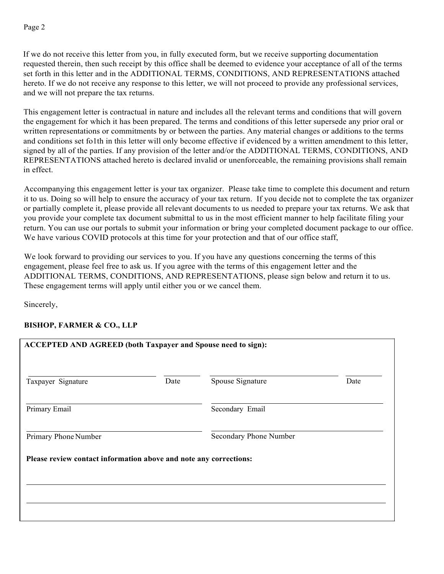If we do not receive this letter from you, in fully executed form, but we receive supporting documentation requested therein, then such receipt by this office shall be deemed to evidence your acceptance of all of the terms set forth in this letter and in the ADDITIONAL TERMS, CONDITIONS, AND REPRESENTATIONS attached hereto. If we do not receive any response to this letter, we will not proceed to provide any professional services, and we will not prepare the tax returns.

This engagement letter is contractual in nature and includes all the relevant terms and conditions that will govern the engagement for which it has been prepared. The terms and conditions of this letter supersede any prior oral or written representations or commitments by or between the parties. Any material changes or additions to the terms and conditions set fo1th in this letter will only become effective if evidenced by a written amendment to this letter, signed by all of the parties. If any provision of the letter and/or the ADDITIONAL TERMS, CONDITIONS, AND REPRESENTATIONS attached hereto is declared invalid or unenforceable, the remaining provisions shall remain in effect.

Accompanying this engagement letter is your tax organizer. Please take time to complete this document and return it to us. Doing so will help to ensure the accuracy of your tax return. If you decide not to complete the tax organizer or partially complete it, please provide all relevant documents to us needed to prepare your tax returns. We ask that you provide your complete tax document submittal to us in the most efficient manner to help facilitate filing your return. You can use our portals to submit your information or bring your completed document package to our office. We have various COVID protocols at this time for your protection and that of our office staff,

We look forward to providing our services to you. If you have any questions concerning the terms of this engagement, please feel free to ask us. If you agree with the terms of this engagement letter and the ADDITIONAL TERMS, CONDITIONS, AND REPRESENTATIONS, please sign below and return it to us. These engagement terms will apply until either you or we cancel them.

Sincerely,

## **BISHOP, FARMER & CO., LLP**

| <b>ACCEPTED AND AGREED (both Taxpayer and Spouse need to sign):</b> |      |                        |      |
|---------------------------------------------------------------------|------|------------------------|------|
| Taxpayer Signature                                                  | Date | Spouse Signature       | Date |
| Primary Email                                                       |      | Secondary Email        |      |
| Primary Phone Number                                                |      | Secondary Phone Number |      |
| Please review contact information above and note any corrections:   |      |                        |      |
|                                                                     |      |                        |      |
|                                                                     |      |                        |      |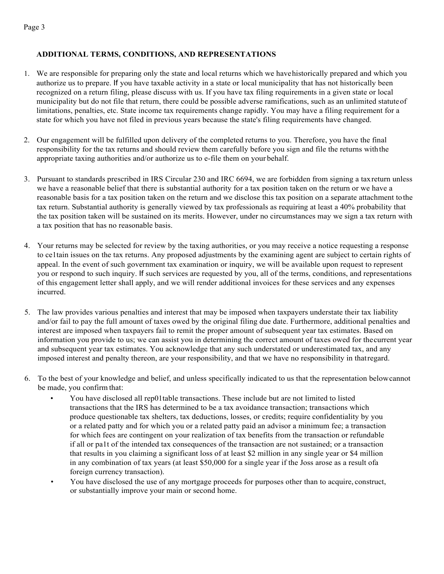## **ADDITIONAL TERMS, CONDITIONS, AND REPRESENTATIONS**

- 1. We are responsible for preparing only the state and local returns which we have historically prepared and which you authorize us to prepare. If you have taxable activity in a state or local municipality that has not historically been recognized on a return filing, please discuss with us. If you have tax filing requirements in a given state or local municipality but do not file that return, there could be possible adverse ramifications, such as an unlimited statute of limitations, penalties, etc. State income tax requirements change rapidly. You may have a filing requirement for a state for which you have not filed in previous years because the state's filing requirements have changed.
- 2. Our engagement will be fulfilled upon delivery of the completed returns to you. Therefore, you have the final responsibility for the tax returns and should review them carefully before you sign and file the returns with the appropriate taxing authorities and/or authorize us to e-file them on your behalf.
- 3. Pursuant to standards prescribed in IRS Circular 230 and IRC 6694, we are forbidden from signing a tax return unless we have a reasonable belief that there is substantial authority for a tax position taken on the return or we have a reasonable basis for a tax position taken on the return and we disclose this tax position on a separate attachment to the tax return. Substantial authority is generally viewed by tax professionals as requiring at least a 40% probability that the tax position taken will be sustained on its merits. However, under no circumstances may we sign a tax return with a tax position that has no reasonable basis.
- 4. Your returns may be selected for review by the taxing authorities, or you may receive a notice requesting a response to ce1tain issues on the tax returns. Any proposed adjustments by the examining agent are subject to certain rights of appeal. In the event of such government tax examination or inquiry, we will be available upon request to represent you or respond to such inquiry. If such services are requested by you, all of the terms, conditions, and representations of this engagement letter shall apply, and we will render additional invoices for these services and any expenses incurred.
- 5. The law provides various penalties and interest that may be imposed when taxpayers understate their tax liability and/or fail to pay the full amount of taxes owed by the original filing due date. Furthermore, additional penalties and interest are imposed when taxpayers fail to remit the proper amount of subsequent year tax estimates. Based on information you provide to us; we can assist you in determining the correct amount of taxes owed for the current year and subsequent year tax estimates. You acknowledge that any such understated or underestimated tax, and any imposed interest and penalty thereon, are your responsibility, and that we have no responsibility in that regard.
- 6. To the best of your knowledge and belief, and unless specifically indicated to us that the representation below cannot be made, you confirm that:
	- You have disclosed all rep01table transactions. These include but are not limited to listed transactions that the IRS has determined to be a tax avoidance transaction; transactions which produce questionable tax shelters, tax deductions, losses, or credits; require confidentiality by you or a related patty and for which you or a related patty paid an advisor a minimum fee; a transaction for which fees are contingent on your realization of tax benefits from the transaction or refundable if all or pa1t of the intended tax consequences of the transaction are not sustained; or a transaction that results in you claiming a significant loss of at least \$2 million in any single year or \$4 million in any combination of tax years (at least \$50,000 for a single year if the Joss arose as a result ofa foreign currency transaction).
	- You have disclosed the use of any mortgage proceeds for purposes other than to acquire, construct, or substantially improve your main or second home.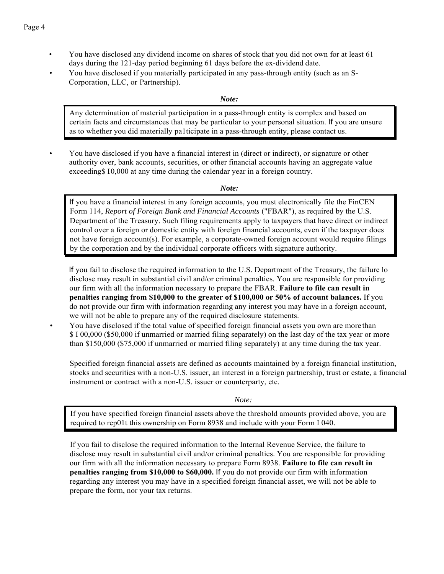- You have disclosed any dividend income on shares of stock that you did not own for at least 61 days during the 121-day period beginning 61 days before the ex-dividend date.
- You have disclosed if you materially participated in any pass-through entity (such as an S-Corporation, LLC, or Partnership).

*Note:*

Any determination of material participation in a pass-through entity is complex and based on certain facts and circumstances that may be particular to your personal situation. If you are unsure as to whether you did materially pa1ticipate in a pass-through entity, please contact us.

• You have disclosed if you have a financial interest in (direct or indirect), or signature or other authority over, bank accounts, securities, or other financial accounts having an aggregate value exceeding\$ 10,000 at any time during the calendar year in a foreign country.

*Note:*

If you have a financial interest in any foreign accounts, you must electronically file the FinCEN Form 114, *Report of Foreign Bank and Financial Accounts* ("FBAR"), as required by the U.S. Department of the Treasury. Such filing requirements apply to taxpayers that have direct or indirect control over a foreign or domestic entity with foreign financial accounts, even if the taxpayer does not have foreign account(s). For example, a corporate-owned foreign account would require filings by the corporation and by the individual corporate officers with signature authority.

If you fail to disclose the required information to the U.S. Department of the Treasury, the failure lo disclose may result in substantial civil and/or criminal penalties. You are responsible for providing our firm with all the information necessary to prepare the FBAR. **Failure to file can result in penalties ranging from \$10,000 to the greater of \$100,000 or 50% of account balances.** If you do not provide our firm with information regarding any interest you may have in a foreign account, we will not be able to prepare any of the required disclosure statements.

• You have disclosed if the total value of specified foreign financial assets you own are more than \$ I 00,000 (\$50,000 if unmarried or married filing separately) on the last day of the tax year or more than \$150,000 (\$75,000 if unmarried or married filing separately) at any time during the tax year.

Specified foreign financial assets are defined as accounts maintained by a foreign financial institution, stocks and securities with a non-U.S. issuer, an interest in a foreign partnership, trust or estate, a financial instrument or contract with a non-U.S. issuer or counterparty, etc.

*Note:*

If you have specified foreign financial assets above the threshold amounts provided above, you are required to rep01t this ownership on Form 8938 and include with your Form I 040.

If you fail to disclose the required information to the Internal Revenue Service, the failure to disclose may result in substantial civil and/or criminal penalties. You are responsible for providing our firm with all the information necessary to prepare Form 8938. **Failure to file can result in penalties ranging from \$10,000 to \$60,000.** If you do not provide our firm with information regarding any interest you may have in a specified foreign financial asset, we will not be able to prepare the form, nor your tax returns.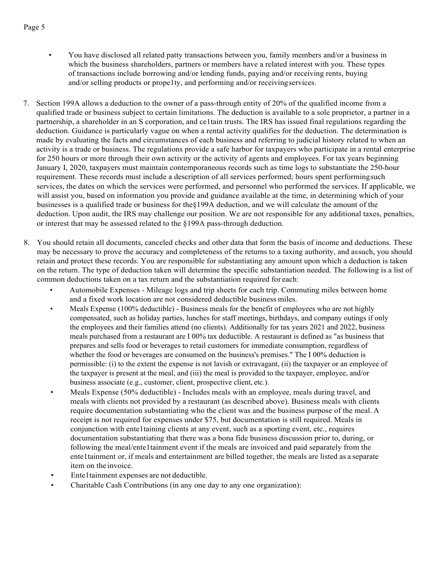- You have disclosed all related patty transactions between you, family members and/or a business in which the business shareholders, partners or members have a related interest with you. These types of transactions include borrowing and/or lending funds, paying and/or receiving rents, buying and/or selling products or prope1ty, and performing and/or receiving services.
- 7. Section 199A allows a deduction to the owner of a pass-through entity of 20% of the qualified income from a qualified trade or business subject to certain limitations. The deduction is available to a sole proprietor, a partner in a partnership, a shareholder in an S corporation, and ce1tain trusts. The IRS has issued final regulations regarding the deduction. Guidance is particularly vague on when a rental activity qualifies for the deduction. The determination is made by evaluating the facts and circumstances of each business and referring to judicial history related to when an activity is a trade or business. The regulations provide a safe harbor for taxpayers who participate in a rental enterprise for 250 hours or more through their own activity or the activity of agents and employees. For tax years beginning January I, 2020, taxpayers must maintain contemporaneous records such as time logs to substantiate the 250-hour requirement. These records must include a description of all services performed; hours spent performing such services, the dates on which the services were performed, and personnel who performed the services. If applicable, we will assist you, based on information you provide and guidance available at the time, in determining which of your businesses is a qualified trade or business for the§199A deduction, and we will calculate the amount of the deduction. Upon audit, the IRS may challenge our position. We are not responsible for any additional taxes, penalties, or interest that may be assessed related to the §199A pass-through deduction.
- 8. You should retain all documents, canceled checks and other data that form the basis of income and deductions. These may be necessary to prove the accuracy and completeness of the returns to a taxing authority, and as such, you should retain and protect these records. You are responsible for substantiating any amount upon which a deduction is taken on the return. The type of deduction taken will determine the specific substantiation needed. The following is a list of common deductions taken on a tax return and the substantiation required for each:
	- Automobile Expenses Mileage logs and trip sheets for each trip. Commuting miles between home and a fixed work location are not considered deductible business miles.
	- Meals Expense (100% deductible) Business meals for the benefit of employees who are not highly compensated, such as holiday parties, lunches for staff meetings, birthdays, and company outings if only the employees and their families attend (no clients). Additionally for tax years 2021 and 2022, business meals purchased from a restaurant are I 00% tax deductible. A restaurant is defined as "as business that prepares and sells food or beverages to retail customers for immediate consumption, regardless of whether the food or beverages are consumed on the business's premises." The I 00% deduction is permissible: (i) to the extent the expense is not lavish or extravagant, (ii) the taxpayer or an employee of the taxpayer is present at the meal, and (iii) the meal is provided to the taxpayer, employee, and/or business associate (e.g., customer, client, prospective client, etc.).
	- Meals Expense (50% deductible) Includes meals with an employee, meals during travel, and meals with clients not provided by a restaurant (as described above). Business meals with clients require documentation substantiating who the client was and the business purpose of the meal. A receipt is not required for expenses under \$75, but documentation is still required. Meals in conjunction with ente1taining clients at any event, such as a sporting event, etc., requires documentation substantiating that there was a bona fide business discussion prior to, during, or following the meal/ente1tainment event if the meals are invoiced and paid separately from the ente1tainment or, if meals and entertainment are billed together, the meals are listed as a separate item on the invoice.
	- Ente1tainment expenses are not deductible.
	- Charitable Cash Contributions (in any one day to any one organization):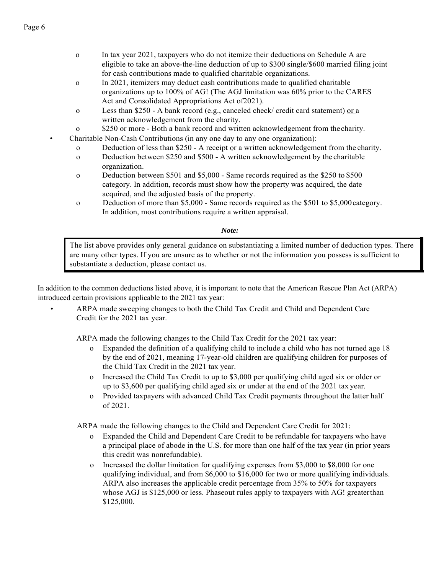- o In tax year 2021, taxpayers who do not itemize their deductions on Schedule A are eligible to take an above-the-line deduction of up to \$300 single/\$600 married filing joint for cash contributions made to qualified charitable organizations.
- o In 2021, itemizers may deduct cash contributions made to qualified charitable organizations up to 100% of AG! (The AGJ limitation was 60% prior to the CARES Act and Consolidated Appropriations Act of2021).
- o Less than \$250 A bank record (e.g., canceled check/ credit card statement) or a written acknowledgement from the charity.
- o \$250 or more Both a bank record and written acknowledgement from the charity.

• Charitable Non-Cash Contributions (in any one day to any one organization):

- o Deduction of less than \$250 A receipt or a written acknowledgement from the charity.
- o Deduction between \$250 and \$500 A written acknowledgement by the charitable organization.
- o Deduction between \$501 and \$5,000 Same records required as the \$250 to \$500 category. In addition, records must show how the property was acquired, the date acquired, and the adjusted basis of the property.
- o Deduction of more than \$5,000 Same records required as the \$501 to \$5,000 category. In addition, most contributions require a written appraisal.

## *Note:*

The list above provides only general guidance on substantiating a limited number of deduction types. There are many other types. If you are unsure as to whether or not the information you possess is sufficient to substantiate a deduction, please contact us.

In addition to the common deductions listed above, it is important to note that the American Rescue Plan Act (ARPA) introduced certain provisions applicable to the 2021 tax year:

> • ARPA made sweeping changes to both the Child Tax Credit and Child and Dependent Care Credit for the 2021 tax year.

ARPA made the following changes to the Child Tax Credit for the 2021 tax year:

- Expanded the definition of a qualifying child to include a child who has not turned age 18 by the end of 2021, meaning 17-year-old children are qualifying children for purposes of the Child Tax Credit in the 2021 tax year.
- o Increased the Child Tax Credit to up to \$3,000 per qualifying child aged six or older or up to \$3,600 per qualifying child aged six or under at the end of the 2021 tax year.
- o Provided taxpayers with advanced Child Tax Credit payments throughout the latter half of 2021.

ARPA made the following changes to the Child and Dependent Care Credit for 2021:

- Expanded the Child and Dependent Care Credit to be refundable for taxpayers who have a principal place of abode in the U.S. for more than one half of the tax year (in prior years this credit was nonrefundable).
- o Increased the dollar limitation for qualifying expenses from \$3,000 to \$8,000 for one qualifying individual, and from \$6,000 to \$16,000 for two or more qualifying individuals. ARPA also increases the applicable credit percentage from 35% to 50% for taxpayers whose AGJ is \$125,000 or less. Phaseout rules apply to taxpayers with AG! greater than \$125,000.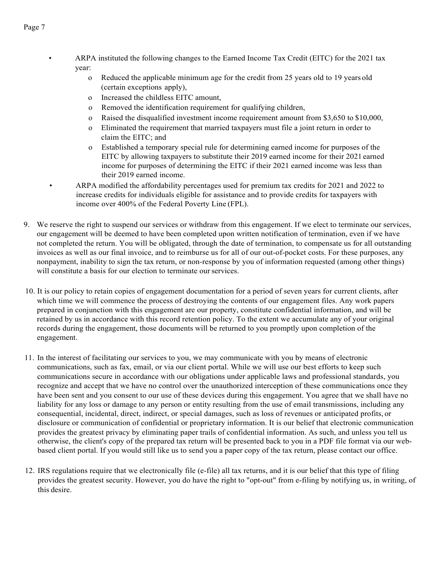• ARPA instituted the following changes to the Earned Income Tax Credit (EITC) for the 2021 tax year:

- o Reduced the applicable minimum age for the credit from 25 years old to 19 years old (certain exceptions apply),
- o Increased the childless EITC amount,
- o Removed the identification requirement for qualifying children,
- o Raised the disqualified investment income requirement amount from \$3,650 to \$10,000,
- o Eliminated the requirement that married taxpayers must file a joint return in order to claim the EITC; and
- o Established a temporary special rule for determining earned income for purposes of the EITC by allowing taxpayers to substitute their 2019 earned income for their 2021 earned income for purposes of determining the EITC if their 2021 earned income was less than their 2019 earned income.
- ARPA modified the affordability percentages used for premium tax credits for 2021 and 2022 to increase credits for individuals eligible for assistance and to provide credits for taxpayers with income over 400% of the Federal Poverty Line (FPL).
- 9. We reserve the right to suspend our services or withdraw from this engagement. If we elect to terminate our services, our engagement will be deemed to have been completed upon written notification of termination, even if we have not completed the return. You will be obligated, through the date of termination, to compensate us for all outstanding invoices as well as our final invoice, and to reimburse us for all of our out-of-pocket costs. For these purposes, any nonpayment, inability to sign the tax return, or non-response by you of information requested (among other things) will constitute a basis for our election to terminate our services.
- 10. It is our policy to retain copies of engagement documentation for a period of seven years for current clients, after which time we will commence the process of destroying the contents of our engagement files. Any work papers prepared in conjunction with this engagement are our property, constitute confidential information, and will be retained by us in accordance with this record retention policy. To the extent we accumulate any of your original records during the engagement, those documents will be returned to you promptly upon completion of the engagement.
- 11. In the interest of facilitating our services to you, we may communicate with you by means of electronic communications, such as fax, email, or via our client portal. While we will use our best efforts to keep such communications secure in accordance with our obligations under applicable laws and professional standards, you recognize and accept that we have no control over the unauthorized interception of these communications once they have been sent and you consent to our use of these devices during this engagement. You agree that we shall have no liability for any loss or damage to any person or entity resulting from the use of email transmissions, including any consequential, incidental, direct, indirect, or special damages, such as loss of revenues or anticipated profits, or disclosure or communication of confidential or proprietary information. It is our belief that electronic communication provides the greatest privacy by eliminating paper trails of confidential information. As such, and unless you tell us otherwise, the client's copy of the prepared tax return will be presented back to you in a PDF file format via our webbased client portal. If you would still like us to send you a paper copy of the tax return, please contact our office.
- 12. IRS regulations require that we electronically file (e-file) all tax returns, and it is our belief that this type of filing provides the greatest security. However, you do have the right to "opt-out" from e-filing by notifying us, in writing, of this desire.